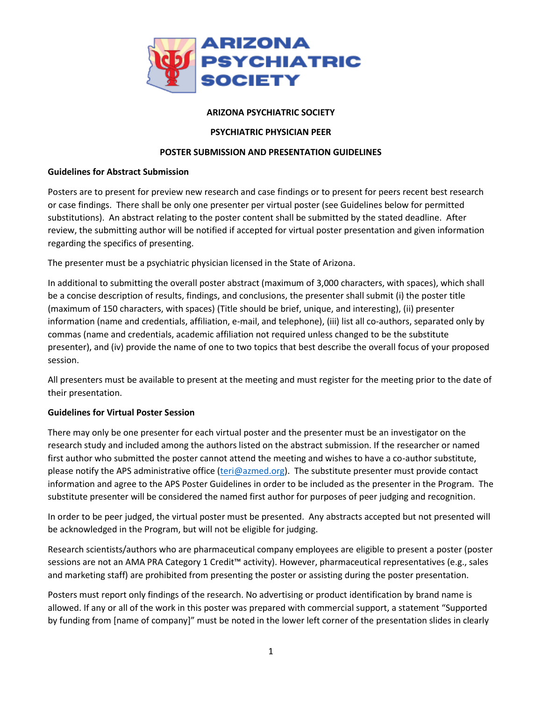

# **ARIZONA PSYCHIATRIC SOCIETY**

## **PSYCHIATRIC PHYSICIAN PEER**

### **POSTER SUBMISSION AND PRESENTATION GUIDELINES**

#### **Guidelines for Abstract Submission**

Posters are to present for preview new research and case findings or to present for peers recent best research or case findings. There shall be only one presenter per virtual poster (see Guidelines below for permitted substitutions). An abstract relating to the poster content shall be submitted by the stated deadline. After review, the submitting author will be notified if accepted for virtual poster presentation and given information regarding the specifics of presenting.

The presenter must be a psychiatric physician licensed in the State of Arizona.

In additional to submitting the overall poster abstract (maximum of 3,000 characters, with spaces), which shall be a concise description of results, findings, and conclusions, the presenter shall submit (i) the poster title (maximum of 150 characters, with spaces) (Title should be brief, unique, and interesting), (ii) presenter information (name and credentials, affiliation, e-mail, and telephone), (iii) list all co-authors, separated only by commas (name and credentials, academic affiliation not required unless changed to be the substitute presenter), and (iv) provide the name of one to two topics that best describe the overall focus of your proposed session.

All presenters must be available to present at the meeting and must register for the meeting prior to the date of their presentation.

## **Guidelines for Virtual Poster Session**

There may only be one presenter for each virtual poster and the presenter must be an investigator on the research study and included among the authors listed on the abstract submission. If the researcher or named first author who submitted the poster cannot attend the meeting and wishes to have a co-author substitute, please notify the APS administrative office [\(teri@azmed.org\)](mailto:teri@azmed.org). The substitute presenter must provide contact information and agree to the APS Poster Guidelines in order to be included as the presenter in the Program. The substitute presenter will be considered the named first author for purposes of peer judging and recognition.

In order to be peer judged, the virtual poster must be presented. Any abstracts accepted but not presented will be acknowledged in the Program, but will not be eligible for judging.

Research scientists/authors who are pharmaceutical company employees are eligible to present a poster (poster sessions are not an AMA PRA Category 1 Credit™ activity). However, pharmaceutical representatives (e.g., sales and marketing staff) are prohibited from presenting the poster or assisting during the poster presentation.

Posters must report only findings of the research. No advertising or product identification by brand name is allowed. If any or all of the work in this poster was prepared with commercial support, a statement "Supported by funding from [name of company]" must be noted in the lower left corner of the presentation slides in clearly